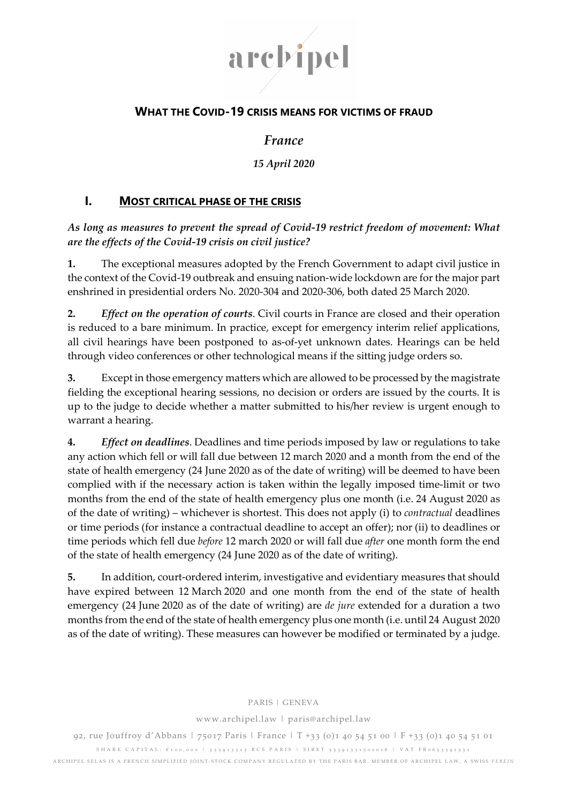

# WHAT THE COVID-19 CRISIS MEANS FOR VICTIMS OF FRAUD

# France

### 15 April 2020

## I. MOST CRITICAL PHASE OF THE CRISIS

As long as measures to prevent the spread of Covid-19 restrict freedom of movement: What are the effects of the Covid-19 crisis on civil justice?

1. The exceptional measures adopted by the French Government to adapt civil justice in the context of the Covid-19 outbreak and ensuing nation-wide lockdown are for the major part enshrined in presidential orders No. 2020-304 and 2020-306, both dated 25 March 2020.

2. Effect on the operation of courts. Civil courts in France are closed and their operation is reduced to a bare minimum. In practice, except for emergency interim relief applications, all civil hearings have been postponed to as-of-yet unknown dates. Hearings can be held through video conferences or other technological means if the sitting judge orders so.

3. Except in those emergency matters which are allowed to be processed by the magistrate fielding the exceptional hearing sessions, no decision or orders are issued by the courts. It is up to the judge to decide whether a matter submitted to his/her review is urgent enough to warrant a hearing.

4. Effect on deadlines. Deadlines and time periods imposed by law or regulations to take any action which fell or will fall due between 12 march 2020 and a month from the end of the state of health emergency (24 June 2020 as of the date of writing) will be deemed to have been complied with if the necessary action is taken within the legally imposed time-limit or two months from the end of the state of health emergency plus one month (i.e. 24 August 2020 as of the date of writing) – whichever is shortest. This does not apply (i) to contractual deadlines or time periods (for instance a contractual deadline to accept an offer); nor (ii) to deadlines or time periods which fell due before 12 march 2020 or will fall due after one month form the end of the state of health emergency (24 June 2020 as of the date of writing).

5. In addition, court-ordered interim, investigative and evidentiary measures that should have expired between 12 March 2020 and one month from the end of the state of health emergency (24 June 2020 as of the date of writing) are de jure extended for a duration a two months from the end of the state of health emergency plus one month (i.e. until 24 August 2020 as of the date of writing). These measures can however be modified or terminated by a judge.

#### PARIS | GENEVA

www.archipel.law | paris@archipel.law

92, rue Jouffroy d'Abbans | 75017 Paris | France | T +33 (0)1 40 54 51 00 | F +33 (0)1 40 54 51 01 S HARE CA PITAL: €100,000 | 533913315 RCS PARIS | SIRET 53391331500016 | VAT FR0653391331 ARCHIPEL SELAS IS A FRENCH SIMPLIFIED JOINT-STOCK COMPANY REGULATED BY THE PARIS BAR. MEMBER OF ARCHIPEL LAW, A SWISS VEREIN